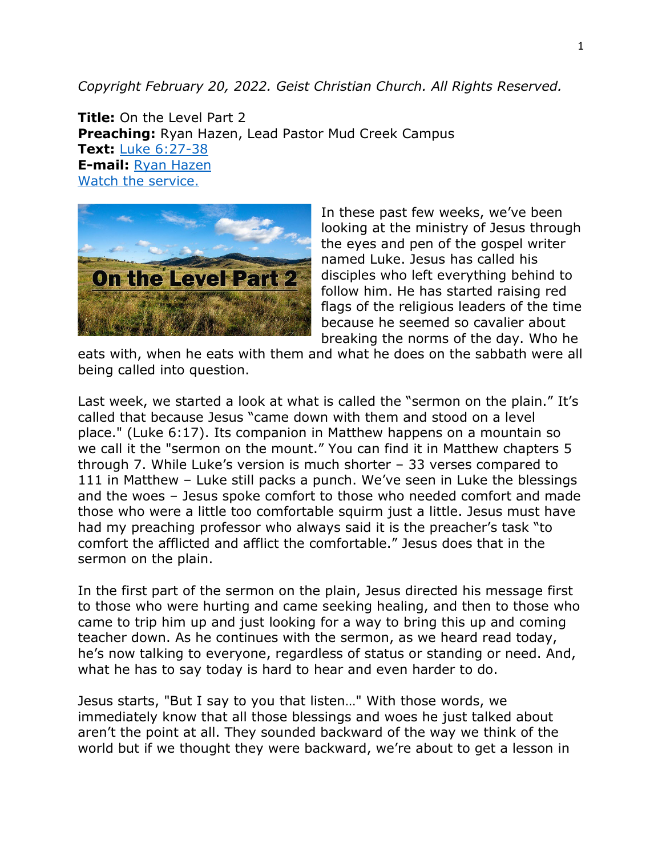*Copyright February 20, 2022. Geist Christian Church. All Rights Reserved.*

**Title:** On the Level Part 2 **Preaching:** Ryan Hazen, Lead Pastor Mud Creek Campus **Text:** [Luke 6:27-38](https://www.biblegateway.com/passage/?search=Luke+6%3A27-38&version=NRSV) **E-mail:** [Ryan Hazen](mailto:ryan.hazen@geistchristian.org) [Watch the service.](https://youtu.be/AnPkMyhIYBY)



In these past few weeks, we've been looking at the ministry of Jesus through the eyes and pen of the gospel writer named Luke. Jesus has called his disciples who left everything behind to follow him. He has started raising red flags of the religious leaders of the time because he seemed so cavalier about breaking the norms of the day. Who he

eats with, when he eats with them and what he does on the sabbath were all being called into question.

Last week, we started a look at what is called the "sermon on the plain." It's called that because Jesus "came down with them and stood on a level place." (Luke 6:17). Its companion in Matthew happens on a mountain so we call it the "sermon on the mount." You can find it in Matthew chapters 5 through 7. While Luke's version is much shorter – 33 verses compared to 111 in Matthew – Luke still packs a punch. We've seen in Luke the blessings and the woes – Jesus spoke comfort to those who needed comfort and made those who were a little too comfortable squirm just a little. Jesus must have had my preaching professor who always said it is the preacher's task "to comfort the afflicted and afflict the comfortable." Jesus does that in the sermon on the plain.

In the first part of the sermon on the plain, Jesus directed his message first to those who were hurting and came seeking healing, and then to those who came to trip him up and just looking for a way to bring this up and coming teacher down. As he continues with the sermon, as we heard read today, he's now talking to everyone, regardless of status or standing or need. And, what he has to say today is hard to hear and even harder to do.

Jesus starts, "But I say to you that listen…" With those words, we immediately know that all those blessings and woes he just talked about aren't the point at all. They sounded backward of the way we think of the world but if we thought they were backward, we're about to get a lesson in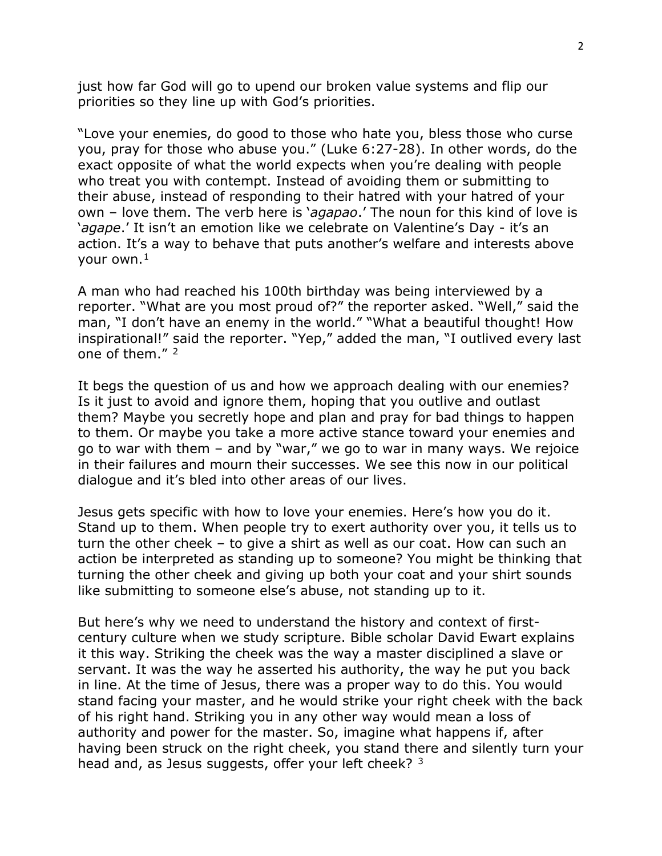just how far God will go to upend our broken value systems and flip our priorities so they line up with God's priorities.

"Love your enemies, do good to those who hate you, bless those who curse you, pray for those who abuse you." (Luke 6:27-28). In other words, do the exact opposite of what the world expects when you're dealing with people who treat you with contempt. Instead of avoiding them or submitting to their abuse, instead of responding to their hatred with your hatred of your own – love them. The verb here is '*agapao*.' The noun for this kind of love is '*agape*.' It isn't an emotion like we celebrate on Valentine's Day - it's an action. It's a way to behave that puts another's welfare and interests above vour own. $<sup>1</sup>$  $<sup>1</sup>$  $<sup>1</sup>$ </sup>

A man who had reached his 100th birthday was being interviewed by a reporter. "What are you most proud of?" the reporter asked. "Well," said the man, "I don't have an enemy in the world." "What a beautiful thought! How inspirational!" said the reporter. "Yep," added the man, "I outlived every last one of them." [2](#page-4-1)

It begs the question of us and how we approach dealing with our enemies? Is it just to avoid and ignore them, hoping that you outlive and outlast them? Maybe you secretly hope and plan and pray for bad things to happen to them. Or maybe you take a more active stance toward your enemies and go to war with them – and by "war," we go to war in many ways. We rejoice in their failures and mourn their successes. We see this now in our political dialogue and it's bled into other areas of our lives.

Jesus gets specific with how to love your enemies. Here's how you do it. Stand up to them. When people try to exert authority over you, it tells us to turn the other cheek – to give a shirt as well as our coat. How can such an action be interpreted as standing up to someone? You might be thinking that turning the other cheek and giving up both your coat and your shirt sounds like submitting to someone else's abuse, not standing up to it.

But here's why we need to understand the history and context of firstcentury culture when we study scripture. Bible scholar David Ewart explains it this way. Striking the cheek was the way a master disciplined a slave or servant. It was the way he asserted his authority, the way he put you back in line. At the time of Jesus, there was a proper way to do this. You would stand facing your master, and he would strike your right cheek with the back of his right hand. Striking you in any other way would mean a loss of authority and power for the master. So, imagine what happens if, after having been struck on the right cheek, you stand there and silently turn your head and, as Jesus suggests, offer your left cheek? [3](#page-4-2)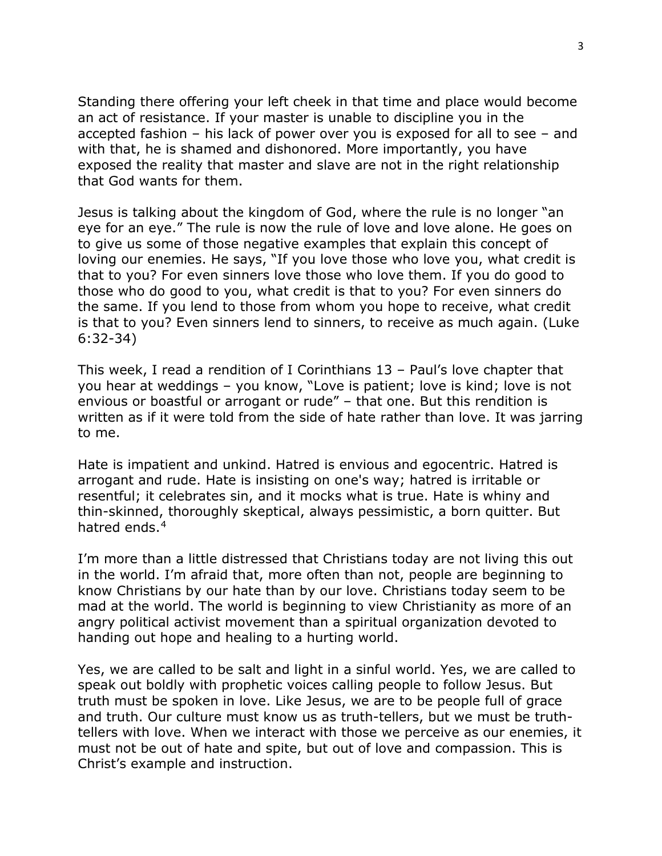Standing there offering your left cheek in that time and place would become an act of resistance. If your master is unable to discipline you in the accepted fashion – his lack of power over you is exposed for all to see – and with that, he is shamed and dishonored. More importantly, you have exposed the reality that master and slave are not in the right relationship that God wants for them.

Jesus is talking about the kingdom of God, where the rule is no longer "an eye for an eye." The rule is now the rule of love and love alone. He goes on to give us some of those negative examples that explain this concept of loving our enemies. He says, "If you love those who love you, what credit is that to you? For even sinners love those who love them. If you do good to those who do good to you, what credit is that to you? For even sinners do the same. If you lend to those from whom you hope to receive, what credit is that to you? Even sinners lend to sinners, to receive as much again. (Luke 6:32-34)

This week, I read a rendition of I Corinthians 13 – Paul's love chapter that you hear at weddings – you know, "Love is patient; love is kind; love is not envious or boastful or arrogant or rude" – that one. But this rendition is written as if it were told from the side of hate rather than love. It was jarring to me.

Hate is impatient and unkind. Hatred is envious and egocentric. Hatred is arrogant and rude. Hate is insisting on one's way; hatred is irritable or resentful; it celebrates sin, and it mocks what is true. Hate is whiny and thin-skinned, thoroughly skeptical, always pessimistic, a born quitter. But hatred ends.<sup>[4](#page-4-3)</sup>

I'm more than a little distressed that Christians today are not living this out in the world. I'm afraid that, more often than not, people are beginning to know Christians by our hate than by our love. Christians today seem to be mad at the world. The world is beginning to view Christianity as more of an angry political activist movement than a spiritual organization devoted to handing out hope and healing to a hurting world.

Yes, we are called to be salt and light in a sinful world. Yes, we are called to speak out boldly with prophetic voices calling people to follow Jesus. But truth must be spoken in love. Like Jesus, we are to be people full of grace and truth. Our culture must know us as truth-tellers, but we must be truthtellers with love. When we interact with those we perceive as our enemies, it must not be out of hate and spite, but out of love and compassion. This is Christ's example and instruction.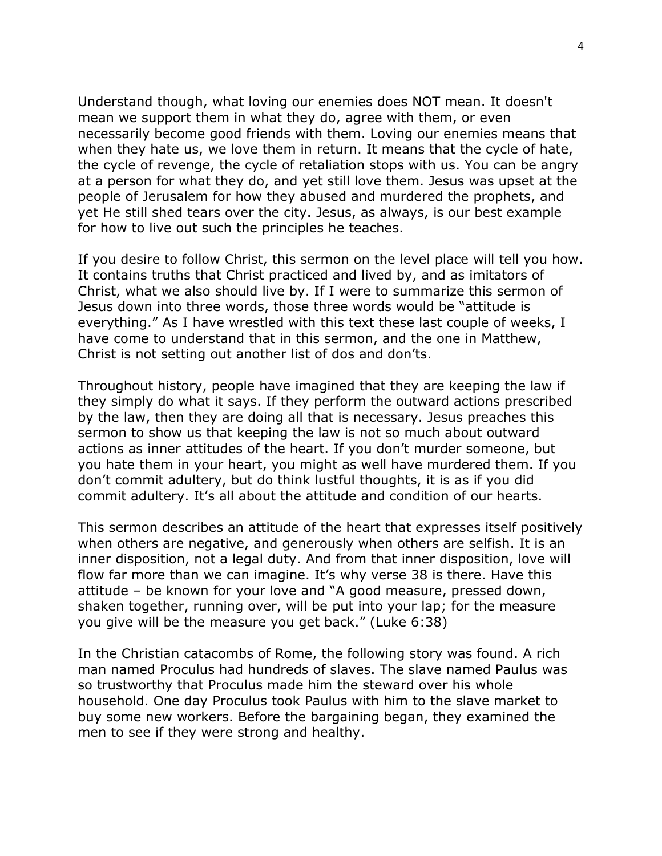Understand though, what loving our enemies does NOT mean. It doesn't mean we support them in what they do, agree with them, or even necessarily become good friends with them. Loving our enemies means that when they hate us, we love them in return. It means that the cycle of hate, the cycle of revenge, the cycle of retaliation stops with us. You can be angry at a person for what they do, and yet still love them. Jesus was upset at the people of Jerusalem for how they abused and murdered the prophets, and yet He still shed tears over the city. Jesus, as always, is our best example for how to live out such the principles he teaches.

If you desire to follow Christ, this sermon on the level place will tell you how. It contains truths that Christ practiced and lived by, and as imitators of Christ, what we also should live by. If I were to summarize this sermon of Jesus down into three words, those three words would be "attitude is everything." As I have wrestled with this text these last couple of weeks, I have come to understand that in this sermon, and the one in Matthew, Christ is not setting out another list of dos and don'ts.

Throughout history, people have imagined that they are keeping the law if they simply do what it says. If they perform the outward actions prescribed by the law, then they are doing all that is necessary. Jesus preaches this sermon to show us that keeping the law is not so much about outward actions as inner attitudes of the heart. If you don't murder someone, but you hate them in your heart, you might as well have murdered them. If you don't commit adultery, but do think lustful thoughts, it is as if you did commit adultery. It's all about the attitude and condition of our hearts.

This sermon describes an attitude of the heart that expresses itself positively when others are negative, and generously when others are selfish. It is an inner disposition, not a legal duty. And from that inner disposition, love will flow far more than we can imagine. It's why verse 38 is there. Have this attitude – be known for your love and "A good measure, pressed down, shaken together, running over, will be put into your lap; for the measure you give will be the measure you get back." (Luke 6:38)

In the Christian catacombs of Rome, the following story was found. A rich man named Proculus had hundreds of slaves. The slave named Paulus was so trustworthy that Proculus made him the steward over his whole household. One day Proculus took Paulus with him to the slave market to buy some new workers. Before the bargaining began, they examined the men to see if they were strong and healthy.